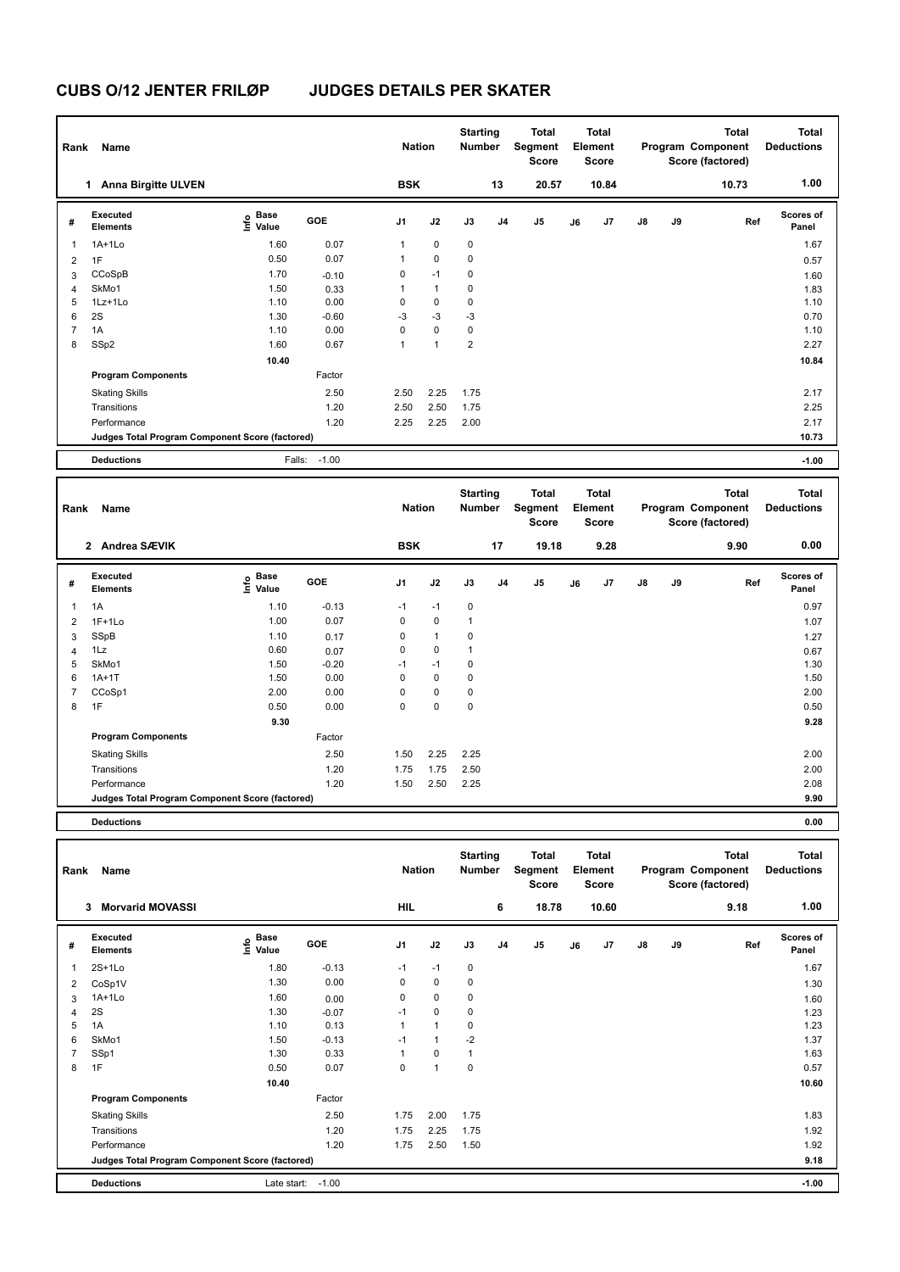| Rank           | Name                                            |                           |         | <b>Nation</b>  |              | <b>Starting</b><br><b>Number</b> |                | <b>Total</b><br>Segment<br><b>Score</b> |    | <b>Total</b><br>Element<br><b>Score</b> |               |    | <b>Total</b><br>Program Component<br>Score (factored) | <b>Total</b><br><b>Deductions</b> |
|----------------|-------------------------------------------------|---------------------------|---------|----------------|--------------|----------------------------------|----------------|-----------------------------------------|----|-----------------------------------------|---------------|----|-------------------------------------------------------|-----------------------------------|
|                | <b>Anna Birgitte ULVEN</b><br>1.                |                           |         | <b>BSK</b>     |              |                                  | 13             | 20.57                                   |    | 10.84                                   |               |    | 10.73                                                 | 1.00                              |
| #              | Executed<br><b>Elements</b>                     | Base<br>e Base<br>⊆ Value | GOE     | J <sub>1</sub> | J2           | J3                               | J <sub>4</sub> | J <sub>5</sub>                          | J6 | J7                                      | $\mathsf{J}8$ | J9 | Ref                                                   | <b>Scores of</b><br>Panel         |
| 1              | $1A+1Lo$                                        | 1.60                      | 0.07    | 1              | $\mathbf 0$  | $\mathbf 0$                      |                |                                         |    |                                         |               |    |                                                       | 1.67                              |
| $\overline{2}$ | 1F                                              | 0.50                      | 0.07    | 1              | $\mathbf 0$  | 0                                |                |                                         |    |                                         |               |    |                                                       | 0.57                              |
| 3              | CCoSpB                                          | 1.70                      | $-0.10$ | 0              | $-1$         | $\mathbf 0$                      |                |                                         |    |                                         |               |    |                                                       | 1.60                              |
| 4              | SkMo1                                           | 1.50                      | 0.33    | 1              | $\mathbf{1}$ | $\mathbf 0$                      |                |                                         |    |                                         |               |    |                                                       | 1.83                              |
| 5              | 1Lz+1Lo                                         | 1.10                      | 0.00    | 0              | $\mathbf 0$  | $\mathbf 0$                      |                |                                         |    |                                         |               |    |                                                       | 1.10                              |
| 6              | 2S                                              | 1.30                      | $-0.60$ | $-3$           | $-3$         | $-3$                             |                |                                         |    |                                         |               |    |                                                       | 0.70                              |
| $\overline{7}$ | 1A                                              | 1.10                      | 0.00    | $\Omega$       | $\mathbf 0$  | $\mathbf 0$                      |                |                                         |    |                                         |               |    |                                                       | 1.10                              |
| 8              | SSp2                                            | 1.60                      | 0.67    | 1              | $\mathbf{1}$ | $\overline{2}$                   |                |                                         |    |                                         |               |    |                                                       | 2.27                              |
|                |                                                 | 10.40                     |         |                |              |                                  |                |                                         |    |                                         |               |    |                                                       | 10.84                             |
|                | <b>Program Components</b>                       |                           | Factor  |                |              |                                  |                |                                         |    |                                         |               |    |                                                       |                                   |
|                | <b>Skating Skills</b>                           |                           | 2.50    | 2.50           | 2.25         | 1.75                             |                |                                         |    |                                         |               |    |                                                       | 2.17                              |
|                | Transitions                                     |                           | 1.20    | 2.50           | 2.50         | 1.75                             |                |                                         |    |                                         |               |    |                                                       | 2.25                              |
|                | Performance                                     |                           | 1.20    | 2.25           | 2.25         | 2.00                             |                |                                         |    |                                         |               |    |                                                       | 2.17                              |
|                | Judges Total Program Component Score (factored) |                           |         |                |              |                                  |                |                                         |    |                                         |               |    |                                                       | 10.73                             |
|                | <b>Deductions</b>                               | Falls:                    | $-1.00$ |                |              |                                  |                |                                         |    |                                         |               |    |                                                       | $-1.00$                           |

| Rank           | Name                                            |                                  |         | <b>Nation</b>  |              | <b>Starting</b><br><b>Number</b> |                | <b>Total</b><br>Segment<br><b>Score</b> |    | <b>Total</b><br>Element<br><b>Score</b> |               |    | <b>Total</b><br>Program Component<br>Score (factored) | <b>Total</b><br><b>Deductions</b> |
|----------------|-------------------------------------------------|----------------------------------|---------|----------------|--------------|----------------------------------|----------------|-----------------------------------------|----|-----------------------------------------|---------------|----|-------------------------------------------------------|-----------------------------------|
|                | 2 Andrea SÆVIK                                  |                                  |         | <b>BSK</b>     |              |                                  | 17             | 19.18                                   |    | 9.28                                    |               |    | 9.90                                                  | 0.00                              |
| #              | Executed<br><b>Elements</b>                     | <b>Base</b><br>e Base<br>E Value | GOE     | J <sub>1</sub> | J2           | J3                               | J <sub>4</sub> | J5                                      | J6 | J <sub>7</sub>                          | $\mathsf{J}8$ | J9 | Ref                                                   | Scores of<br>Panel                |
| $\overline{1}$ | 1A                                              | 1.10                             | $-0.13$ | $-1$           | $-1$         | $\mathbf 0$                      |                |                                         |    |                                         |               |    |                                                       | 0.97                              |
| $\overline{2}$ | $1F+1Lo$                                        | 1.00                             | 0.07    | $\mathbf 0$    | $\mathbf 0$  | $\mathbf{1}$                     |                |                                         |    |                                         |               |    |                                                       | 1.07                              |
| 3              | SSpB                                            | 1.10                             | 0.17    | 0              | $\mathbf{1}$ | $\mathbf 0$                      |                |                                         |    |                                         |               |    |                                                       | 1.27                              |
| 4              | 1Lz                                             | 0.60                             | 0.07    | 0              | 0            | $\overline{1}$                   |                |                                         |    |                                         |               |    |                                                       | 0.67                              |
| 5              | SkMo1                                           | 1.50                             | $-0.20$ | $-1$           | $-1$         | 0                                |                |                                         |    |                                         |               |    |                                                       | 1.30                              |
| 6              | $1A+1T$                                         | 1.50                             | 0.00    | 0              | $\mathbf 0$  | $\mathbf 0$                      |                |                                         |    |                                         |               |    |                                                       | 1.50                              |
| 7              | CCoSp1                                          | 2.00                             | 0.00    | 0              | $\mathbf 0$  | 0                                |                |                                         |    |                                         |               |    |                                                       | 2.00                              |
| 8              | 1F                                              | 0.50                             | 0.00    | $\mathbf 0$    | $\mathbf 0$  | $\mathbf 0$                      |                |                                         |    |                                         |               |    |                                                       | 0.50                              |
|                |                                                 | 9.30                             |         |                |              |                                  |                |                                         |    |                                         |               |    |                                                       | 9.28                              |
|                | <b>Program Components</b>                       |                                  | Factor  |                |              |                                  |                |                                         |    |                                         |               |    |                                                       |                                   |
|                | <b>Skating Skills</b>                           |                                  | 2.50    | 1.50           | 2.25         | 2.25                             |                |                                         |    |                                         |               |    |                                                       | 2.00                              |
|                | Transitions                                     |                                  | 1.20    | 1.75           | 1.75         | 2.50                             |                |                                         |    |                                         |               |    |                                                       | 2.00                              |
|                | Performance                                     |                                  | 1.20    | 1.50           | 2.50         | 2.25                             |                |                                         |    |                                         |               |    |                                                       | 2.08                              |
|                | Judges Total Program Component Score (factored) |                                  |         |                |              |                                  |                |                                         |    |                                         |               |    |                                                       | 9.90                              |
|                | <b>Deductions</b>                               |                                  |         |                |              |                                  |                |                                         |    |                                         |               |    |                                                       | 0.00                              |

| Rank           | Name                                            |                                  |         | <b>Nation</b>  |              | <b>Starting</b><br><b>Number</b> |    | Total<br>Segment<br>Score |    | <b>Total</b><br>Element<br><b>Score</b> |               |    | <b>Total</b><br>Program Component<br>Score (factored) | <b>Total</b><br><b>Deductions</b> |
|----------------|-------------------------------------------------|----------------------------------|---------|----------------|--------------|----------------------------------|----|---------------------------|----|-----------------------------------------|---------------|----|-------------------------------------------------------|-----------------------------------|
|                | <b>Morvarid MOVASSI</b><br>3                    |                                  |         | <b>HIL</b>     |              |                                  | 6  | 18.78                     |    | 10.60                                   |               |    | 9.18                                                  | 1.00                              |
| #              | Executed<br><b>Elements</b>                     | <b>Base</b><br>e Base<br>⊆ Value | GOE     | J <sub>1</sub> | J2           | J3                               | J4 | J <sub>5</sub>            | J6 | J7                                      | $\mathsf{J}8$ | J9 | Ref                                                   | <b>Scores of</b><br>Panel         |
| 1              | $2S+1Lo$                                        | 1.80                             | $-0.13$ | $-1$           | $-1$         | 0                                |    |                           |    |                                         |               |    |                                                       | 1.67                              |
| 2              | CoSp1V                                          | 1.30                             | 0.00    | 0              | $\mathbf 0$  | $\mathbf 0$                      |    |                           |    |                                         |               |    |                                                       | 1.30                              |
| 3              | $1A+1Lo$                                        | 1.60                             | 0.00    | 0              | $\mathbf 0$  | $\mathbf 0$                      |    |                           |    |                                         |               |    |                                                       | 1.60                              |
| 4              | 2S                                              | 1.30                             | $-0.07$ | $-1$           | $\mathbf 0$  | 0                                |    |                           |    |                                         |               |    |                                                       | 1.23                              |
| 5              | 1A                                              | 1.10                             | 0.13    | 1              | $\mathbf{1}$ | 0                                |    |                           |    |                                         |               |    |                                                       | 1.23                              |
| 6              | SkMo1                                           | 1.50                             | $-0.13$ | $-1$           | $\mathbf{1}$ | $-2$                             |    |                           |    |                                         |               |    |                                                       | 1.37                              |
| $\overline{7}$ | SSp1                                            | 1.30                             | 0.33    | 1              | $\mathbf 0$  | $\mathbf{1}$                     |    |                           |    |                                         |               |    |                                                       | 1.63                              |
| 8              | 1F                                              | 0.50                             | 0.07    | 0              | $\mathbf{1}$ | 0                                |    |                           |    |                                         |               |    |                                                       | 0.57                              |
|                |                                                 | 10.40                            |         |                |              |                                  |    |                           |    |                                         |               |    |                                                       | 10.60                             |
|                | <b>Program Components</b>                       |                                  | Factor  |                |              |                                  |    |                           |    |                                         |               |    |                                                       |                                   |
|                | <b>Skating Skills</b>                           |                                  | 2.50    | 1.75           | 2.00         | 1.75                             |    |                           |    |                                         |               |    |                                                       | 1.83                              |
|                | Transitions                                     |                                  | 1.20    | 1.75           | 2.25         | 1.75                             |    |                           |    |                                         |               |    |                                                       | 1.92                              |
|                | Performance                                     |                                  | 1.20    | 1.75           | 2.50         | 1.50                             |    |                           |    |                                         |               |    |                                                       | 1.92                              |
|                | Judges Total Program Component Score (factored) |                                  |         |                |              |                                  |    |                           |    |                                         |               |    |                                                       | 9.18                              |
|                | <b>Deductions</b>                               | Late start:                      | $-1.00$ |                |              |                                  |    |                           |    |                                         |               |    |                                                       | $-1.00$                           |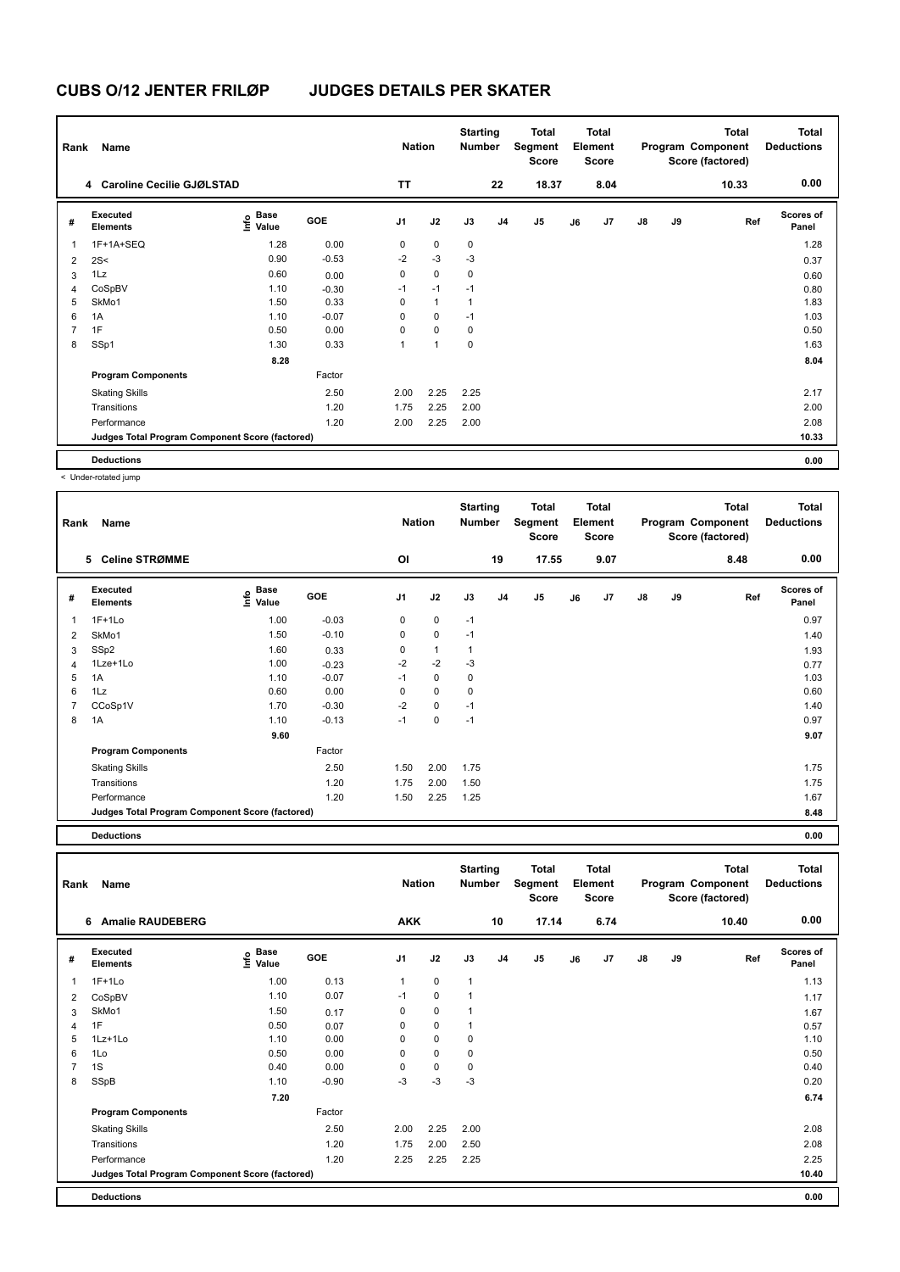| Rank | Name                                            |                                  |         | <b>Nation</b>  |              | <b>Starting</b><br><b>Number</b> |                | Total<br>Segment<br><b>Score</b> |    | Total<br>Element<br><b>Score</b> |               |    | <b>Total</b><br>Program Component<br>Score (factored) | <b>Total</b><br><b>Deductions</b> |
|------|-------------------------------------------------|----------------------------------|---------|----------------|--------------|----------------------------------|----------------|----------------------------------|----|----------------------------------|---------------|----|-------------------------------------------------------|-----------------------------------|
|      | 4 Caroline Cecilie GJØLSTAD                     |                                  |         | <b>TT</b>      |              |                                  | 22             | 18.37                            |    | 8.04                             |               |    | 10.33                                                 | 0.00                              |
| #    | Executed<br><b>Elements</b>                     | <b>Base</b><br>e Base<br>⊆ Value | GOE     | J <sub>1</sub> | J2           | J3                               | J <sub>4</sub> | J <sub>5</sub>                   | J6 | J7                               | $\mathsf{J}8$ | J9 | Ref                                                   | <b>Scores of</b><br>Panel         |
| 1    | 1F+1A+SEQ                                       | 1.28                             | 0.00    | 0              | $\mathbf 0$  | 0                                |                |                                  |    |                                  |               |    |                                                       | 1.28                              |
| 2    | 2S<                                             | 0.90                             | $-0.53$ | $-2$           | $-3$         | $-3$                             |                |                                  |    |                                  |               |    |                                                       | 0.37                              |
| 3    | 1Lz                                             | 0.60                             | 0.00    | 0              | $\mathbf 0$  | 0                                |                |                                  |    |                                  |               |    |                                                       | 0.60                              |
| 4    | CoSpBV                                          | 1.10                             | $-0.30$ | $-1$           | $-1$         | $-1$                             |                |                                  |    |                                  |               |    |                                                       | 0.80                              |
| 5    | SkMo1                                           | 1.50                             | 0.33    | 0              | $\mathbf{1}$ | $\overline{1}$                   |                |                                  |    |                                  |               |    |                                                       | 1.83                              |
| 6    | 1A                                              | 1.10                             | $-0.07$ | $\Omega$       | $\Omega$     | $-1$                             |                |                                  |    |                                  |               |    |                                                       | 1.03                              |
| 7    | 1F                                              | 0.50                             | 0.00    | $\Omega$       | $\Omega$     | $\mathbf 0$                      |                |                                  |    |                                  |               |    |                                                       | 0.50                              |
| 8    | SSp1                                            | 1.30                             | 0.33    | 1              | 1            | 0                                |                |                                  |    |                                  |               |    |                                                       | 1.63                              |
|      |                                                 | 8.28                             |         |                |              |                                  |                |                                  |    |                                  |               |    |                                                       | 8.04                              |
|      | <b>Program Components</b>                       |                                  | Factor  |                |              |                                  |                |                                  |    |                                  |               |    |                                                       |                                   |
|      | <b>Skating Skills</b>                           |                                  | 2.50    | 2.00           | 2.25         | 2.25                             |                |                                  |    |                                  |               |    |                                                       | 2.17                              |
|      | Transitions                                     |                                  | 1.20    | 1.75           | 2.25         | 2.00                             |                |                                  |    |                                  |               |    |                                                       | 2.00                              |
|      | Performance                                     |                                  | 1.20    | 2.00           | 2.25         | 2.00                             |                |                                  |    |                                  |               |    |                                                       | 2.08                              |
|      | Judges Total Program Component Score (factored) |                                  |         |                |              |                                  |                |                                  |    |                                  |               |    |                                                       | 10.33                             |
|      | <b>Deductions</b>                               |                                  |         |                |              |                                  |                |                                  |    |                                  |               |    |                                                       | 0.00                              |

< Under-rotated jump

| Rank           | Name                                            |                                                          |         | <b>Nation</b>  |              | <b>Starting</b><br><b>Number</b> |                | <b>Total</b><br>Segment<br>Score |    | <b>Total</b><br>Element<br><b>Score</b> |               |    | <b>Total</b><br>Program Component<br>Score (factored) | <b>Total</b><br><b>Deductions</b> |
|----------------|-------------------------------------------------|----------------------------------------------------------|---------|----------------|--------------|----------------------------------|----------------|----------------------------------|----|-----------------------------------------|---------------|----|-------------------------------------------------------|-----------------------------------|
|                | <b>Celine STRØMME</b><br>5                      |                                                          |         | OI             |              |                                  | 19             | 17.55                            |    | 9.07                                    |               |    | 8.48                                                  | 0.00                              |
| #              | Executed<br>Elements                            | <b>Base</b><br>$\mathop{\mathsf{Int}}\nolimits$<br>Value | GOE     | J <sub>1</sub> | J2           | J3                               | J <sub>4</sub> | J5                               | J6 | J7                                      | $\mathsf{J}8$ | J9 | Ref                                                   | <b>Scores of</b><br>Panel         |
| 1              | $1F+1Lo$                                        | 1.00                                                     | $-0.03$ | 0              | $\mathbf 0$  | $-1$                             |                |                                  |    |                                         |               |    |                                                       | 0.97                              |
| $\overline{2}$ | SkMo1                                           | 1.50                                                     | $-0.10$ | 0              | $\mathbf 0$  | $-1$                             |                |                                  |    |                                         |               |    |                                                       | 1.40                              |
| 3              | SSp2                                            | 1.60                                                     | 0.33    | 0              | $\mathbf{1}$ | 1                                |                |                                  |    |                                         |               |    |                                                       | 1.93                              |
| 4              | 1Lze+1Lo                                        | 1.00                                                     | $-0.23$ | $-2$           | $-2$         | $-3$                             |                |                                  |    |                                         |               |    |                                                       | 0.77                              |
| 5              | 1A                                              | 1.10                                                     | $-0.07$ | $-1$           | $\mathbf 0$  | $\mathbf 0$                      |                |                                  |    |                                         |               |    |                                                       | 1.03                              |
| 6              | 1Lz                                             | 0.60                                                     | 0.00    | 0              | 0            | 0                                |                |                                  |    |                                         |               |    |                                                       | 0.60                              |
|                | CCoSp1V                                         | 1.70                                                     | $-0.30$ | $-2$           | 0            | $-1$                             |                |                                  |    |                                         |               |    |                                                       | 1.40                              |
| 8              | 1A                                              | 1.10                                                     | $-0.13$ | $-1$           | 0            | $-1$                             |                |                                  |    |                                         |               |    |                                                       | 0.97                              |
|                |                                                 | 9.60                                                     |         |                |              |                                  |                |                                  |    |                                         |               |    |                                                       | 9.07                              |
|                | <b>Program Components</b>                       |                                                          | Factor  |                |              |                                  |                |                                  |    |                                         |               |    |                                                       |                                   |
|                | <b>Skating Skills</b>                           |                                                          | 2.50    | 1.50           | 2.00         | 1.75                             |                |                                  |    |                                         |               |    |                                                       | 1.75                              |
|                | Transitions                                     |                                                          | 1.20    | 1.75           | 2.00         | 1.50                             |                |                                  |    |                                         |               |    |                                                       | 1.75                              |
|                | Performance                                     |                                                          | 1.20    | 1.50           | 2.25         | 1.25                             |                |                                  |    |                                         |               |    |                                                       | 1.67                              |
|                | Judges Total Program Component Score (factored) |                                                          |         |                |              |                                  |                |                                  |    |                                         |               |    |                                                       | 8.48                              |

**Deductions 0.00**

| Rank | Name                                            |                                    |         | <b>Nation</b>  |             | <b>Starting</b><br><b>Number</b> |                | <b>Total</b><br>Segment<br><b>Score</b> |    | <b>Total</b><br>Element<br><b>Score</b> |               |    | <b>Total</b><br>Program Component<br>Score (factored) | <b>Total</b><br><b>Deductions</b> |
|------|-------------------------------------------------|------------------------------------|---------|----------------|-------------|----------------------------------|----------------|-----------------------------------------|----|-----------------------------------------|---------------|----|-------------------------------------------------------|-----------------------------------|
|      | <b>Amalie RAUDEBERG</b><br>6                    |                                    |         | <b>AKK</b>     |             |                                  | 10             | 17.14                                   |    | 6.74                                    |               |    | 10.40                                                 | 0.00                              |
| #    | Executed<br><b>Elements</b>                     | <b>Base</b><br>$\frac{6}{5}$ Value | GOE     | J <sub>1</sub> | J2          | J3                               | J <sub>4</sub> | J <sub>5</sub>                          | J6 | J7                                      | $\mathsf{J}8$ | J9 | Ref                                                   | Scores of<br>Panel                |
| 1    | $1F+1Lo$                                        | 1.00                               | 0.13    | 1              | $\mathbf 0$ | $\mathbf{1}$                     |                |                                         |    |                                         |               |    |                                                       | 1.13                              |
| 2    | CoSpBV                                          | 1.10                               | 0.07    | $-1$           | $\mathbf 0$ | $\mathbf{1}$                     |                |                                         |    |                                         |               |    |                                                       | 1.17                              |
| 3    | SkMo1                                           | 1.50                               | 0.17    | 0              | $\pmb{0}$   | $\mathbf{1}$                     |                |                                         |    |                                         |               |    |                                                       | 1.67                              |
| 4    | 1F                                              | 0.50                               | 0.07    | 0              | $\mathbf 0$ | $\mathbf{1}$                     |                |                                         |    |                                         |               |    |                                                       | 0.57                              |
| 5    | 1Lz+1Lo                                         | 1.10                               | 0.00    | 0              | $\mathbf 0$ | 0                                |                |                                         |    |                                         |               |    |                                                       | 1.10                              |
| 6    | 1Lo                                             | 0.50                               | 0.00    | 0              | $\mathbf 0$ | 0                                |                |                                         |    |                                         |               |    |                                                       | 0.50                              |
| 7    | 1S                                              | 0.40                               | 0.00    | 0              | $\mathbf 0$ | 0                                |                |                                         |    |                                         |               |    |                                                       | 0.40                              |
| 8    | SSpB                                            | 1.10                               | $-0.90$ | $-3$           | $-3$        | $-3$                             |                |                                         |    |                                         |               |    |                                                       | 0.20                              |
|      |                                                 | 7.20                               |         |                |             |                                  |                |                                         |    |                                         |               |    |                                                       | 6.74                              |
|      | <b>Program Components</b>                       |                                    | Factor  |                |             |                                  |                |                                         |    |                                         |               |    |                                                       |                                   |
|      | <b>Skating Skills</b>                           |                                    | 2.50    | 2.00           | 2.25        | 2.00                             |                |                                         |    |                                         |               |    |                                                       | 2.08                              |
|      | Transitions                                     |                                    | 1.20    | 1.75           | 2.00        | 2.50                             |                |                                         |    |                                         |               |    |                                                       | 2.08                              |
|      | Performance                                     |                                    | 1.20    | 2.25           | 2.25        | 2.25                             |                |                                         |    |                                         |               |    |                                                       | 2.25                              |
|      | Judges Total Program Component Score (factored) |                                    |         |                |             |                                  |                |                                         |    |                                         |               |    |                                                       | 10.40                             |
|      | <b>Deductions</b>                               |                                    |         |                |             |                                  |                |                                         |    |                                         |               |    |                                                       | 0.00                              |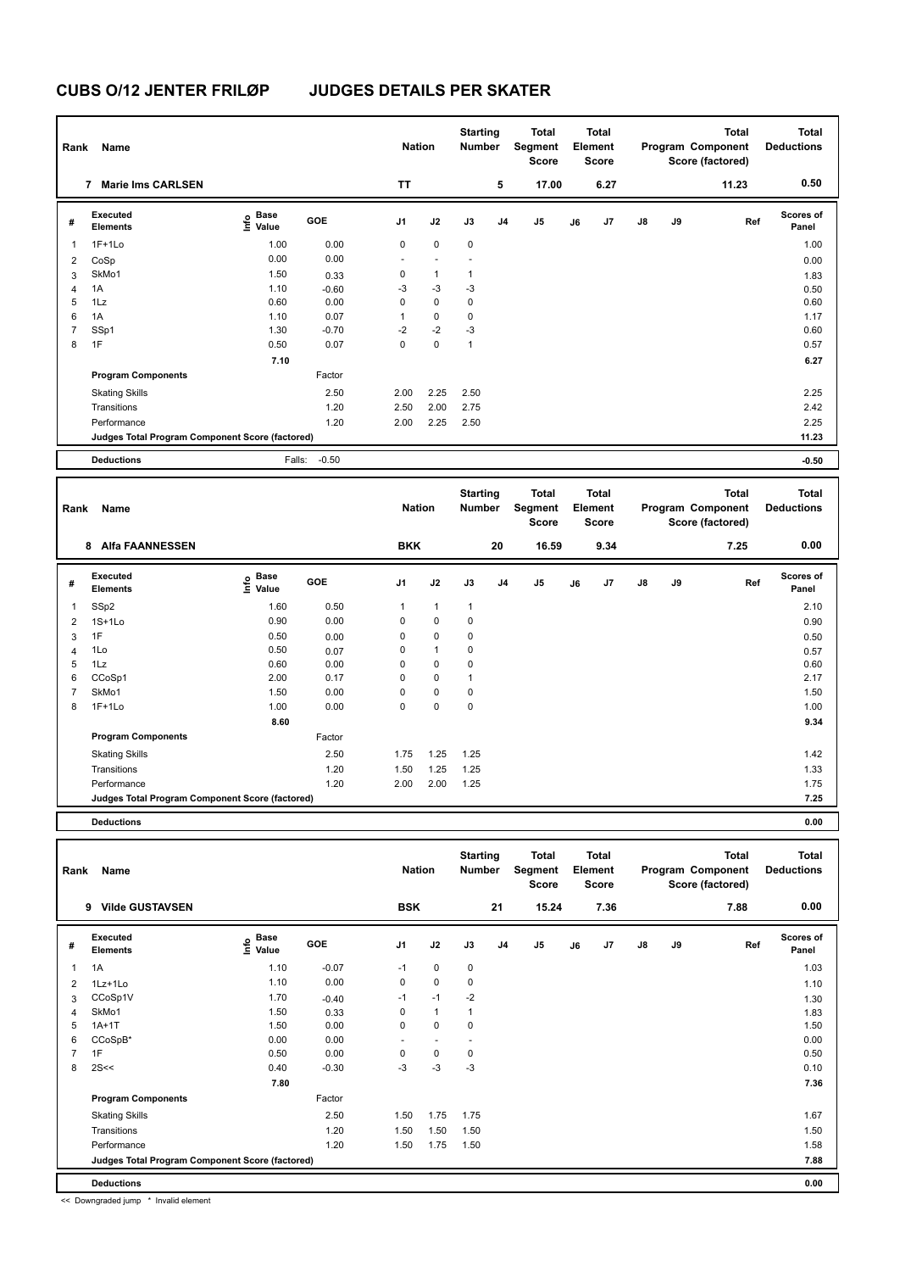| Rank           | Name                                            |                           |         | <b>Nation</b>  |             | <b>Starting</b><br><b>Number</b> |                | <b>Total</b><br>Segment<br><b>Score</b> |    | <b>Total</b><br>Element<br>Score |               |    | <b>Total</b><br>Program Component<br>Score (factored) | <b>Total</b><br><b>Deductions</b> |
|----------------|-------------------------------------------------|---------------------------|---------|----------------|-------------|----------------------------------|----------------|-----------------------------------------|----|----------------------------------|---------------|----|-------------------------------------------------------|-----------------------------------|
|                | <b>Marie Ims CARLSEN</b><br>7                   |                           |         | <b>TT</b>      |             |                                  | 5              | 17.00                                   |    | 6.27                             |               |    | 11.23                                                 | 0.50                              |
| #              | Executed<br><b>Elements</b>                     | Base<br>e Base<br>⊆ Value | GOE     | J <sub>1</sub> | J2          | J3                               | J <sub>4</sub> | J <sub>5</sub>                          | J6 | J7                               | $\mathsf{J}8$ | J9 | Ref                                                   | <b>Scores of</b><br>Panel         |
| $\overline{1}$ | $1F+1Lo$                                        | 1.00                      | 0.00    | $\mathbf 0$    | $\mathbf 0$ | $\mathbf 0$                      |                |                                         |    |                                  |               |    |                                                       | 1.00                              |
| 2              | CoSp                                            | 0.00                      | 0.00    |                |             |                                  |                |                                         |    |                                  |               |    |                                                       | 0.00                              |
| 3              | SkMo1                                           | 1.50                      | 0.33    | 0              | 1           | $\mathbf{1}$                     |                |                                         |    |                                  |               |    |                                                       | 1.83                              |
| 4              | 1A                                              | 1.10                      | $-0.60$ | $-3$           | $-3$        | $-3$                             |                |                                         |    |                                  |               |    |                                                       | 0.50                              |
| 5              | 1Lz                                             | 0.60                      | 0.00    | 0              | $\mathbf 0$ | 0                                |                |                                         |    |                                  |               |    |                                                       | 0.60                              |
| 6              | 1A                                              | 1.10                      | 0.07    | 1              | $\mathbf 0$ | 0                                |                |                                         |    |                                  |               |    |                                                       | 1.17                              |
| $\overline{7}$ | SSp1                                            | 1.30                      | $-0.70$ | $-2$           | $-2$        | $-3$                             |                |                                         |    |                                  |               |    |                                                       | 0.60                              |
| 8              | 1F                                              | 0.50                      | 0.07    | 0              | $\mathbf 0$ | $\mathbf{1}$                     |                |                                         |    |                                  |               |    |                                                       | 0.57                              |
|                |                                                 | 7.10                      |         |                |             |                                  |                |                                         |    |                                  |               |    |                                                       | 6.27                              |
|                | <b>Program Components</b>                       |                           | Factor  |                |             |                                  |                |                                         |    |                                  |               |    |                                                       |                                   |
|                | <b>Skating Skills</b>                           |                           | 2.50    | 2.00           | 2.25        | 2.50                             |                |                                         |    |                                  |               |    |                                                       | 2.25                              |
|                | Transitions                                     |                           | 1.20    | 2.50           | 2.00        | 2.75                             |                |                                         |    |                                  |               |    |                                                       | 2.42                              |
|                | Performance                                     |                           | 1.20    | 2.00           | 2.25        | 2.50                             |                |                                         |    |                                  |               |    |                                                       | 2.25                              |
|                | Judges Total Program Component Score (factored) |                           |         |                |             |                                  |                |                                         |    |                                  |               |    |                                                       | 11.23                             |
|                | <b>Deductions</b>                               | Falls:                    | $-0.50$ |                |             |                                  |                |                                         |    |                                  |               |    |                                                       | $-0.50$                           |

| Rank           | Name                                            |                              |            | <b>Nation</b>  |              | <b>Starting</b><br>Number |                | Total<br>Segment<br>Score |    | <b>Total</b><br>Element<br><b>Score</b> |               |    | <b>Total</b><br>Program Component<br>Score (factored) | <b>Total</b><br><b>Deductions</b> |
|----------------|-------------------------------------------------|------------------------------|------------|----------------|--------------|---------------------------|----------------|---------------------------|----|-----------------------------------------|---------------|----|-------------------------------------------------------|-----------------------------------|
|                | <b>Alfa FAANNESSEN</b><br>8                     |                              |            | <b>BKK</b>     |              |                           | 20             | 16.59                     |    | 9.34                                    |               |    | 7.25                                                  | 0.00                              |
| #              | Executed<br><b>Elements</b>                     | <b>Base</b><br>lnfo<br>Value | <b>GOE</b> | J <sub>1</sub> | J2           | J3                        | J <sub>4</sub> | J5                        | J6 | J7                                      | $\mathsf{J}8$ | J9 | Ref                                                   | <b>Scores of</b><br>Panel         |
| 1              | SSp2                                            | 1.60                         | 0.50       | 1              | $\mathbf{1}$ | $\mathbf{1}$              |                |                           |    |                                         |               |    |                                                       | 2.10                              |
| 2              | $1S+1Lo$                                        | 0.90                         | 0.00       | 0              | $\mathbf 0$  | $\mathbf 0$               |                |                           |    |                                         |               |    |                                                       | 0.90                              |
| 3              | 1F                                              | 0.50                         | 0.00       | 0              | $\mathbf 0$  | 0                         |                |                           |    |                                         |               |    |                                                       | 0.50                              |
| $\overline{4}$ | 1Lo                                             | 0.50                         | 0.07       | 0              | $\mathbf{1}$ | 0                         |                |                           |    |                                         |               |    |                                                       | 0.57                              |
| 5              | 1Lz                                             | 0.60                         | 0.00       | 0              | $\mathbf 0$  | 0                         |                |                           |    |                                         |               |    |                                                       | 0.60                              |
| 6              | CCoSp1                                          | 2.00                         | 0.17       | 0              | $\mathbf 0$  | $\mathbf{1}$              |                |                           |    |                                         |               |    |                                                       | 2.17                              |
| $\overline{7}$ | SkMo1                                           | 1.50                         | 0.00       | 0              | $\mathbf 0$  | 0                         |                |                           |    |                                         |               |    |                                                       | 1.50                              |
| 8              | $1F+1Lo$                                        | 1.00                         | 0.00       | 0              | $\mathbf 0$  | 0                         |                |                           |    |                                         |               |    |                                                       | 1.00                              |
|                |                                                 | 8.60                         |            |                |              |                           |                |                           |    |                                         |               |    |                                                       | 9.34                              |
|                | <b>Program Components</b>                       |                              | Factor     |                |              |                           |                |                           |    |                                         |               |    |                                                       |                                   |
|                | <b>Skating Skills</b>                           |                              | 2.50       | 1.75           | 1.25         | 1.25                      |                |                           |    |                                         |               |    |                                                       | 1.42                              |
|                | Transitions                                     |                              | 1.20       | 1.50           | 1.25         | 1.25                      |                |                           |    |                                         |               |    |                                                       | 1.33                              |
|                | Performance                                     |                              | 1.20       | 2.00           | 2.00         | 1.25                      |                |                           |    |                                         |               |    |                                                       | 1.75                              |
|                | Judges Total Program Component Score (factored) |                              |            |                |              |                           |                |                           |    |                                         |               |    |                                                       | 7.25                              |
|                | <b>Deductions</b>                               |                              |            |                |              |                           |                |                           |    |                                         |               |    |                                                       | 0.00                              |

| Rank | Name                                            |                                    |         | <b>Nation</b>  |              | <b>Starting</b><br><b>Number</b> |                | <b>Total</b><br>Segment<br><b>Score</b> |    | <b>Total</b><br>Element<br><b>Score</b> |               |    | <b>Total</b><br>Program Component<br>Score (factored) | <b>Total</b><br><b>Deductions</b> |
|------|-------------------------------------------------|------------------------------------|---------|----------------|--------------|----------------------------------|----------------|-----------------------------------------|----|-----------------------------------------|---------------|----|-------------------------------------------------------|-----------------------------------|
|      | <b>Vilde GUSTAVSEN</b><br>9                     |                                    |         | <b>BSK</b>     |              |                                  | 21             | 15.24                                   |    | 7.36                                    |               |    | 7.88                                                  | 0.00                              |
| #    | Executed<br><b>Elements</b>                     | <b>Base</b><br>$\frac{6}{5}$ Value | GOE     | J <sub>1</sub> | J2           | J3                               | J <sub>4</sub> | J5                                      | J6 | J7                                      | $\mathsf{J}8$ | J9 | Ref                                                   | <b>Scores of</b><br>Panel         |
| 1    | 1A                                              | 1.10                               | $-0.07$ | $-1$           | $\mathbf 0$  | $\mathbf 0$                      |                |                                         |    |                                         |               |    |                                                       | 1.03                              |
| 2    | 1Lz+1Lo                                         | 1.10                               | 0.00    | 0              | $\mathbf 0$  | 0                                |                |                                         |    |                                         |               |    |                                                       | 1.10                              |
| 3    | CCoSp1V                                         | 1.70                               | $-0.40$ | $-1$           | $-1$         | $-2$                             |                |                                         |    |                                         |               |    |                                                       | 1.30                              |
| 4    | SkMo1                                           | 1.50                               | 0.33    | 0              | $\mathbf{1}$ | $\mathbf{1}$                     |                |                                         |    |                                         |               |    |                                                       | 1.83                              |
| 5    | $1A+1T$                                         | 1.50                               | 0.00    | 0              | $\mathbf 0$  | 0                                |                |                                         |    |                                         |               |    |                                                       | 1.50                              |
| 6    | CCoSpB*                                         | 0.00                               | 0.00    | ٠              | ٠            | ۰                                |                |                                         |    |                                         |               |    |                                                       | 0.00                              |
|      | 1F                                              | 0.50                               | 0.00    | $\Omega$       | 0            | 0                                |                |                                         |    |                                         |               |    |                                                       | 0.50                              |
| 8    | 2S<<                                            | 0.40                               | $-0.30$ | $-3$           | $-3$         | $-3$                             |                |                                         |    |                                         |               |    |                                                       | 0.10                              |
|      |                                                 | 7.80                               |         |                |              |                                  |                |                                         |    |                                         |               |    |                                                       | 7.36                              |
|      | <b>Program Components</b>                       |                                    | Factor  |                |              |                                  |                |                                         |    |                                         |               |    |                                                       |                                   |
|      | <b>Skating Skills</b>                           |                                    | 2.50    | 1.50           | 1.75         | 1.75                             |                |                                         |    |                                         |               |    |                                                       | 1.67                              |
|      | Transitions                                     |                                    | 1.20    | 1.50           | 1.50         | 1.50                             |                |                                         |    |                                         |               |    |                                                       | 1.50                              |
|      | Performance                                     |                                    | 1.20    | 1.50           | 1.75         | 1.50                             |                |                                         |    |                                         |               |    |                                                       | 1.58                              |
|      | Judges Total Program Component Score (factored) |                                    |         |                |              |                                  |                |                                         |    |                                         |               |    |                                                       | 7.88                              |
|      | <b>Deductions</b>                               |                                    |         |                |              |                                  |                |                                         |    |                                         |               |    |                                                       | 0.00                              |

<< Downgraded jump \* Invalid element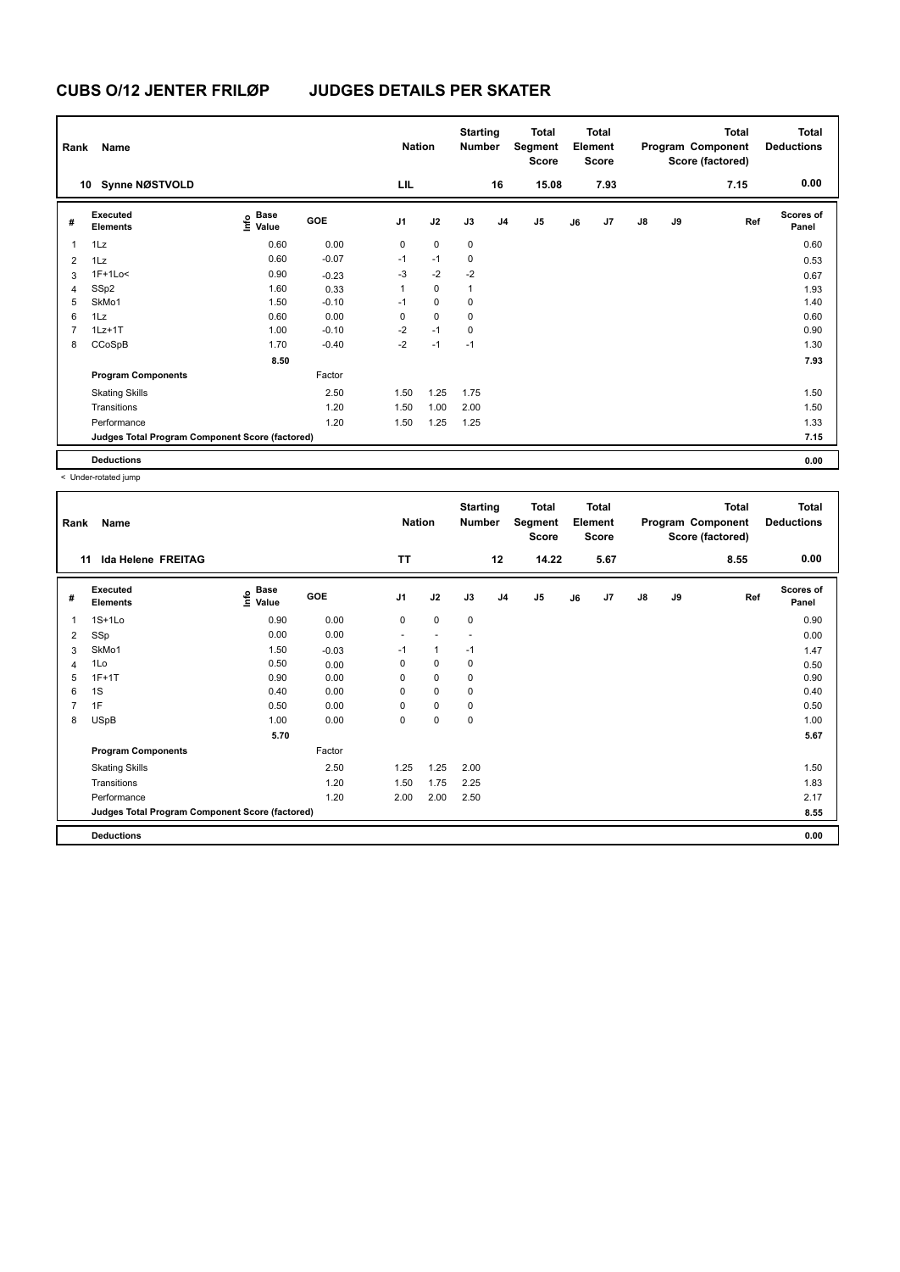| Rank | Name                                            |                           |            | <b>Nation</b>  |             | <b>Starting</b><br><b>Number</b> |                | Total<br>Segment<br><b>Score</b> |    | <b>Total</b><br>Element<br><b>Score</b> |               |    | <b>Total</b><br>Program Component<br>Score (factored) | <b>Total</b><br><b>Deductions</b> |
|------|-------------------------------------------------|---------------------------|------------|----------------|-------------|----------------------------------|----------------|----------------------------------|----|-----------------------------------------|---------------|----|-------------------------------------------------------|-----------------------------------|
|      | <b>Synne NØSTVOLD</b><br>10                     |                           |            | LIL            |             |                                  | 16             | 15.08                            |    | 7.93                                    |               |    | 7.15                                                  | 0.00                              |
| #    | Executed<br><b>Elements</b>                     | Base<br>e Base<br>⊆ Value | <b>GOE</b> | J <sub>1</sub> | J2          | J3                               | J <sub>4</sub> | J <sub>5</sub>                   | J6 | J7                                      | $\mathsf{J}8$ | J9 | Ref                                                   | <b>Scores of</b><br>Panel         |
| 1    | 1Lz                                             | 0.60                      | 0.00       | 0              | $\pmb{0}$   | $\pmb{0}$                        |                |                                  |    |                                         |               |    |                                                       | 0.60                              |
| 2    | 1Lz                                             | 0.60                      | $-0.07$    | $-1$           | $-1$        | 0                                |                |                                  |    |                                         |               |    |                                                       | 0.53                              |
| 3    | $1F+1Lo<$                                       | 0.90                      | $-0.23$    | -3             | $-2$        | $-2$                             |                |                                  |    |                                         |               |    |                                                       | 0.67                              |
| 4    | SSp2                                            | 1.60                      | 0.33       | 1              | $\mathbf 0$ | $\overline{1}$                   |                |                                  |    |                                         |               |    |                                                       | 1.93                              |
| 5    | SkMo1                                           | 1.50                      | $-0.10$    | $-1$           | $\mathbf 0$ | 0                                |                |                                  |    |                                         |               |    |                                                       | 1.40                              |
| 6    | 1Lz                                             | 0.60                      | 0.00       | 0              | $\mathbf 0$ | 0                                |                |                                  |    |                                         |               |    |                                                       | 0.60                              |
| 7    | $1Lz+1T$                                        | 1.00                      | $-0.10$    | $-2$           | $-1$        | 0                                |                |                                  |    |                                         |               |    |                                                       | 0.90                              |
| 8    | CCoSpB                                          | 1.70                      | $-0.40$    | $-2$           | $-1$        | $-1$                             |                |                                  |    |                                         |               |    |                                                       | 1.30                              |
|      |                                                 | 8.50                      |            |                |             |                                  |                |                                  |    |                                         |               |    |                                                       | 7.93                              |
|      | <b>Program Components</b>                       |                           | Factor     |                |             |                                  |                |                                  |    |                                         |               |    |                                                       |                                   |
|      | <b>Skating Skills</b>                           |                           | 2.50       | 1.50           | 1.25        | 1.75                             |                |                                  |    |                                         |               |    |                                                       | 1.50                              |
|      | Transitions                                     |                           | 1.20       | 1.50           | 1.00        | 2.00                             |                |                                  |    |                                         |               |    |                                                       | 1.50                              |
|      | Performance                                     |                           | 1.20       | 1.50           | 1.25        | 1.25                             |                |                                  |    |                                         |               |    |                                                       | 1.33                              |
|      | Judges Total Program Component Score (factored) |                           |            |                |             |                                  |                |                                  |    |                                         |               |    |                                                       | 7.15                              |
|      | <b>Deductions</b>                               |                           |            |                |             |                                  |                |                                  |    |                                         |               |    |                                                       | 0.00                              |

< Under-rotated jump

| Rank           | Name                                            |                                  |         | <b>Nation</b>  |              | <b>Starting</b><br><b>Number</b> |                | <b>Total</b><br>Segment<br><b>Score</b> |    | <b>Total</b><br>Element<br><b>Score</b> |               |    | <b>Total</b><br>Program Component<br>Score (factored) | <b>Total</b><br><b>Deductions</b> |
|----------------|-------------------------------------------------|----------------------------------|---------|----------------|--------------|----------------------------------|----------------|-----------------------------------------|----|-----------------------------------------|---------------|----|-------------------------------------------------------|-----------------------------------|
| 11             | Ida Helene FREITAG                              |                                  |         | <b>TT</b>      |              |                                  | 12             | 14.22                                   |    | 5.67                                    |               |    | 8.55                                                  | 0.00                              |
| #              | <b>Executed</b><br><b>Elements</b>              | <b>Base</b><br>e Base<br>⊆ Value | GOE     | J <sub>1</sub> | J2           | J3                               | J <sub>4</sub> | J <sub>5</sub>                          | J6 | J7                                      | $\mathsf{J}8$ | J9 | Ref                                                   | <b>Scores of</b><br>Panel         |
| 1              | $1S+1L0$                                        | 0.90                             | 0.00    | $\mathbf 0$    | $\mathbf 0$  | 0                                |                |                                         |    |                                         |               |    |                                                       | 0.90                              |
| 2              | SSp                                             | 0.00                             | 0.00    | ٠              |              | ٠                                |                |                                         |    |                                         |               |    |                                                       | 0.00                              |
| 3              | SkMo1                                           | 1.50                             | $-0.03$ | $-1$           | $\mathbf{1}$ | $-1$                             |                |                                         |    |                                         |               |    |                                                       | 1.47                              |
| 4              | 1Lo                                             | 0.50                             | 0.00    | 0              | $\mathbf 0$  | 0                                |                |                                         |    |                                         |               |    |                                                       | 0.50                              |
| 5              | $1F+1T$                                         | 0.90                             | 0.00    | 0              | $\mathbf 0$  | 0                                |                |                                         |    |                                         |               |    |                                                       | 0.90                              |
| 6              | 1S                                              | 0.40                             | 0.00    | 0              | $\mathbf 0$  | 0                                |                |                                         |    |                                         |               |    |                                                       | 0.40                              |
| $\overline{7}$ | 1F                                              | 0.50                             | 0.00    | 0              | $\mathbf 0$  | 0                                |                |                                         |    |                                         |               |    |                                                       | 0.50                              |
| 8              | <b>USpB</b>                                     | 1.00                             | 0.00    | 0              | $\pmb{0}$    | 0                                |                |                                         |    |                                         |               |    |                                                       | 1.00                              |
|                |                                                 | 5.70                             |         |                |              |                                  |                |                                         |    |                                         |               |    |                                                       | 5.67                              |
|                | <b>Program Components</b>                       |                                  | Factor  |                |              |                                  |                |                                         |    |                                         |               |    |                                                       |                                   |
|                | <b>Skating Skills</b>                           |                                  | 2.50    | 1.25           | 1.25         | 2.00                             |                |                                         |    |                                         |               |    |                                                       | 1.50                              |
|                | Transitions                                     |                                  | 1.20    | 1.50           | 1.75         | 2.25                             |                |                                         |    |                                         |               |    |                                                       | 1.83                              |
|                | Performance                                     |                                  | 1.20    | 2.00           | 2.00         | 2.50                             |                |                                         |    |                                         |               |    |                                                       | 2.17                              |
|                | Judges Total Program Component Score (factored) |                                  |         |                |              |                                  |                |                                         |    |                                         |               |    |                                                       | 8.55                              |
|                | <b>Deductions</b>                               |                                  |         |                |              |                                  |                |                                         |    |                                         |               |    |                                                       | 0.00                              |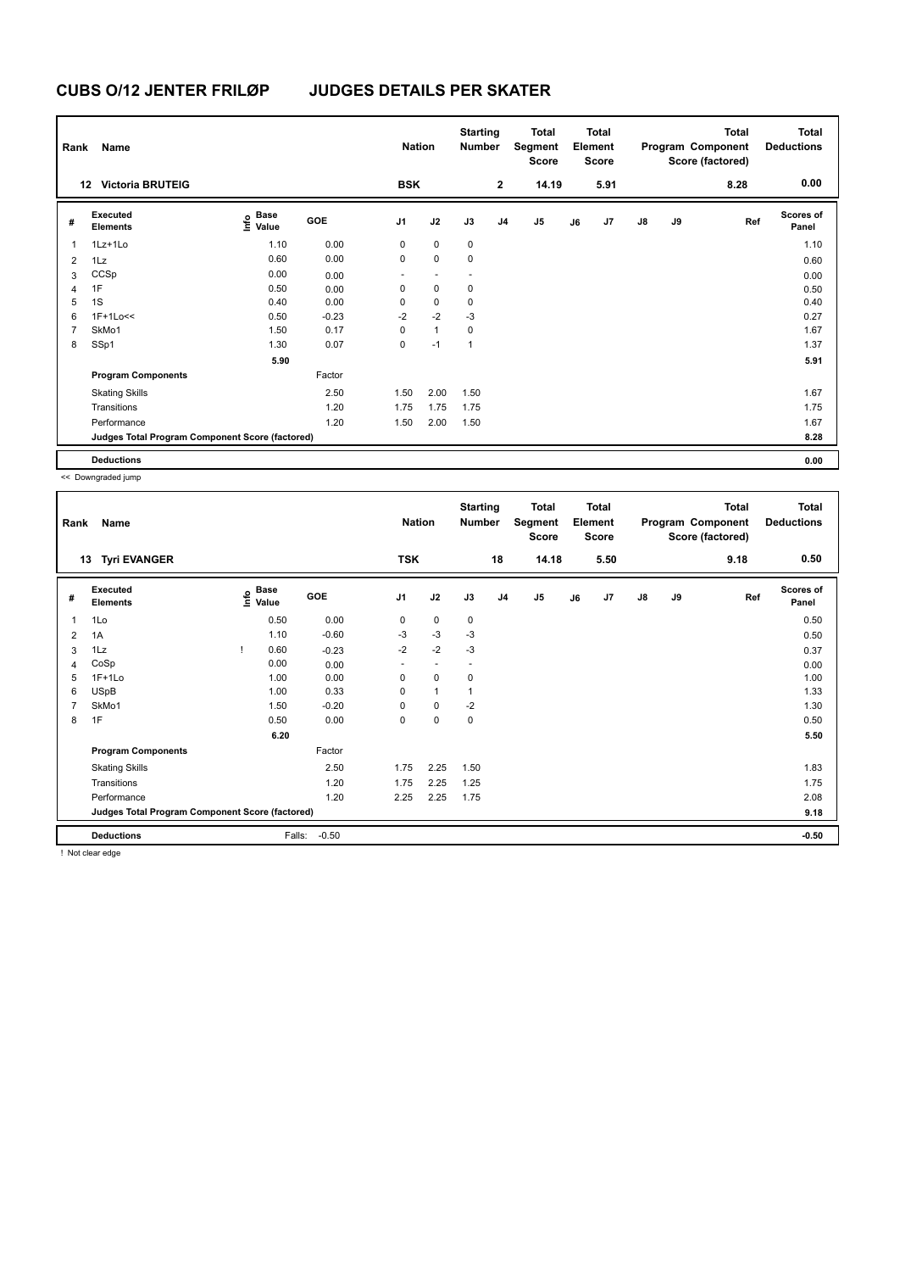| Rank           | Name                                            |                                             |         | <b>Nation</b>  |              | <b>Starting</b><br><b>Number</b> |                | Total<br>Segment<br>Score |    | <b>Total</b><br>Element<br>Score |               |    | <b>Total</b><br>Program Component<br>Score (factored) | <b>Total</b><br><b>Deductions</b> |
|----------------|-------------------------------------------------|---------------------------------------------|---------|----------------|--------------|----------------------------------|----------------|---------------------------|----|----------------------------------|---------------|----|-------------------------------------------------------|-----------------------------------|
|                | <b>Victoria BRUTEIG</b><br>12                   |                                             |         | <b>BSK</b>     |              |                                  | $\overline{2}$ | 14.19                     |    | 5.91                             |               |    | 8.28                                                  | 0.00                              |
| #              | Executed<br><b>Elements</b>                     | <b>Base</b><br>e <sup>Base</sup><br>⊆ Value | GOE     | J <sub>1</sub> | J2           | J3                               | J <sub>4</sub> | J <sub>5</sub>            | J6 | J7                               | $\mathsf{J}8$ | J9 | Ref                                                   | <b>Scores of</b><br>Panel         |
| $\overline{1}$ | 1Lz+1Lo                                         | 1.10                                        | 0.00    | 0              | $\mathbf 0$  | $\pmb{0}$                        |                |                           |    |                                  |               |    |                                                       | 1.10                              |
| 2              | 1Lz                                             | 0.60                                        | 0.00    | 0              | $\mathbf 0$  | 0                                |                |                           |    |                                  |               |    |                                                       | 0.60                              |
| 3              | CCSp                                            | 0.00                                        | 0.00    | ٠              |              | $\overline{\phantom{a}}$         |                |                           |    |                                  |               |    |                                                       | 0.00                              |
| 4              | 1F                                              | 0.50                                        | 0.00    | 0              | $\mathbf 0$  | 0                                |                |                           |    |                                  |               |    |                                                       | 0.50                              |
| 5              | 1S                                              | 0.40                                        | 0.00    | 0              | $\mathbf 0$  | $\mathbf 0$                      |                |                           |    |                                  |               |    |                                                       | 0.40                              |
| 6              | 1F+1Lo<<                                        | 0.50                                        | $-0.23$ | $-2$           | $-2$         | $-3$                             |                |                           |    |                                  |               |    |                                                       | 0.27                              |
| $\overline{7}$ | SkMo1                                           | 1.50                                        | 0.17    | $\Omega$       | $\mathbf{1}$ | 0                                |                |                           |    |                                  |               |    |                                                       | 1.67                              |
| 8              | SSp1                                            | 1.30                                        | 0.07    | 0              | $-1$         | $\overline{1}$                   |                |                           |    |                                  |               |    |                                                       | 1.37                              |
|                |                                                 | 5.90                                        |         |                |              |                                  |                |                           |    |                                  |               |    |                                                       | 5.91                              |
|                | <b>Program Components</b>                       |                                             | Factor  |                |              |                                  |                |                           |    |                                  |               |    |                                                       |                                   |
|                | <b>Skating Skills</b>                           |                                             | 2.50    | 1.50           | 2.00         | 1.50                             |                |                           |    |                                  |               |    |                                                       | 1.67                              |
|                | Transitions                                     |                                             | 1.20    | 1.75           | 1.75         | 1.75                             |                |                           |    |                                  |               |    |                                                       | 1.75                              |
|                | Performance                                     |                                             | 1.20    | 1.50           | 2.00         | 1.50                             |                |                           |    |                                  |               |    |                                                       | 1.67                              |
|                | Judges Total Program Component Score (factored) |                                             |         |                |              |                                  |                |                           |    |                                  |               |    |                                                       | 8.28                              |
|                | <b>Deductions</b>                               |                                             |         |                |              |                                  |                |                           |    |                                  |               |    |                                                       | 0.00                              |

<< Downgraded jump

| Rank | Name                                            |   |                                  |         | <b>Nation</b>  |              | <b>Starting</b><br><b>Number</b> |                | <b>Total</b><br>Segment<br><b>Score</b> |    | <b>Total</b><br>Element<br><b>Score</b> |               |    | <b>Total</b><br>Program Component<br>Score (factored) | <b>Total</b><br><b>Deductions</b> |
|------|-------------------------------------------------|---|----------------------------------|---------|----------------|--------------|----------------------------------|----------------|-----------------------------------------|----|-----------------------------------------|---------------|----|-------------------------------------------------------|-----------------------------------|
| 13   | <b>Tyri EVANGER</b>                             |   |                                  |         | <b>TSK</b>     |              |                                  | 18             | 14.18                                   |    | 5.50                                    |               |    | 9.18                                                  | 0.50                              |
| #    | <b>Executed</b><br><b>Elements</b>              |   | <b>Base</b><br>e Base<br>⊆ Value | GOE     | J <sub>1</sub> | J2           | J3                               | J <sub>4</sub> | J <sub>5</sub>                          | J6 | J7                                      | $\mathsf{J}8$ | J9 | Ref                                                   | <b>Scores of</b><br>Panel         |
| 1    | 1Lo                                             |   | 0.50                             | 0.00    | 0              | 0            | $\mathbf 0$                      |                |                                         |    |                                         |               |    |                                                       | 0.50                              |
| 2    | 1A                                              |   | 1.10                             | $-0.60$ | $-3$           | $-3$         | $-3$                             |                |                                         |    |                                         |               |    |                                                       | 0.50                              |
| 3    | 1Lz                                             | Ţ | 0.60                             | $-0.23$ | $-2$           | $-2$         | $-3$                             |                |                                         |    |                                         |               |    |                                                       | 0.37                              |
| 4    | CoSp                                            |   | 0.00                             | 0.00    |                |              | $\overline{a}$                   |                |                                         |    |                                         |               |    |                                                       | 0.00                              |
| 5    | $1F+1Lo$                                        |   | 1.00                             | 0.00    | $\mathbf 0$    | 0            | $\mathbf 0$                      |                |                                         |    |                                         |               |    |                                                       | 1.00                              |
| 6    | <b>USpB</b>                                     |   | 1.00                             | 0.33    | 0              | $\mathbf{1}$ | 1                                |                |                                         |    |                                         |               |    |                                                       | 1.33                              |
| 7    | SkMo1                                           |   | 1.50                             | $-0.20$ | 0              | 0            | $-2$                             |                |                                         |    |                                         |               |    |                                                       | 1.30                              |
| 8    | 1F                                              |   | 0.50                             | 0.00    | 0              | 0            | 0                                |                |                                         |    |                                         |               |    |                                                       | 0.50                              |
|      |                                                 |   | 6.20                             |         |                |              |                                  |                |                                         |    |                                         |               |    |                                                       | 5.50                              |
|      | <b>Program Components</b>                       |   |                                  | Factor  |                |              |                                  |                |                                         |    |                                         |               |    |                                                       |                                   |
|      | <b>Skating Skills</b>                           |   |                                  | 2.50    | 1.75           | 2.25         | 1.50                             |                |                                         |    |                                         |               |    |                                                       | 1.83                              |
|      | Transitions                                     |   |                                  | 1.20    | 1.75           | 2.25         | 1.25                             |                |                                         |    |                                         |               |    |                                                       | 1.75                              |
|      | Performance                                     |   |                                  | 1.20    | 2.25           | 2.25         | 1.75                             |                |                                         |    |                                         |               |    |                                                       | 2.08                              |
|      | Judges Total Program Component Score (factored) |   |                                  |         |                |              |                                  |                |                                         |    |                                         |               |    |                                                       | 9.18                              |
|      | <b>Deductions</b>                               |   | Falls:                           | $-0.50$ |                |              |                                  |                |                                         |    |                                         |               |    |                                                       | $-0.50$                           |

! Not clear edge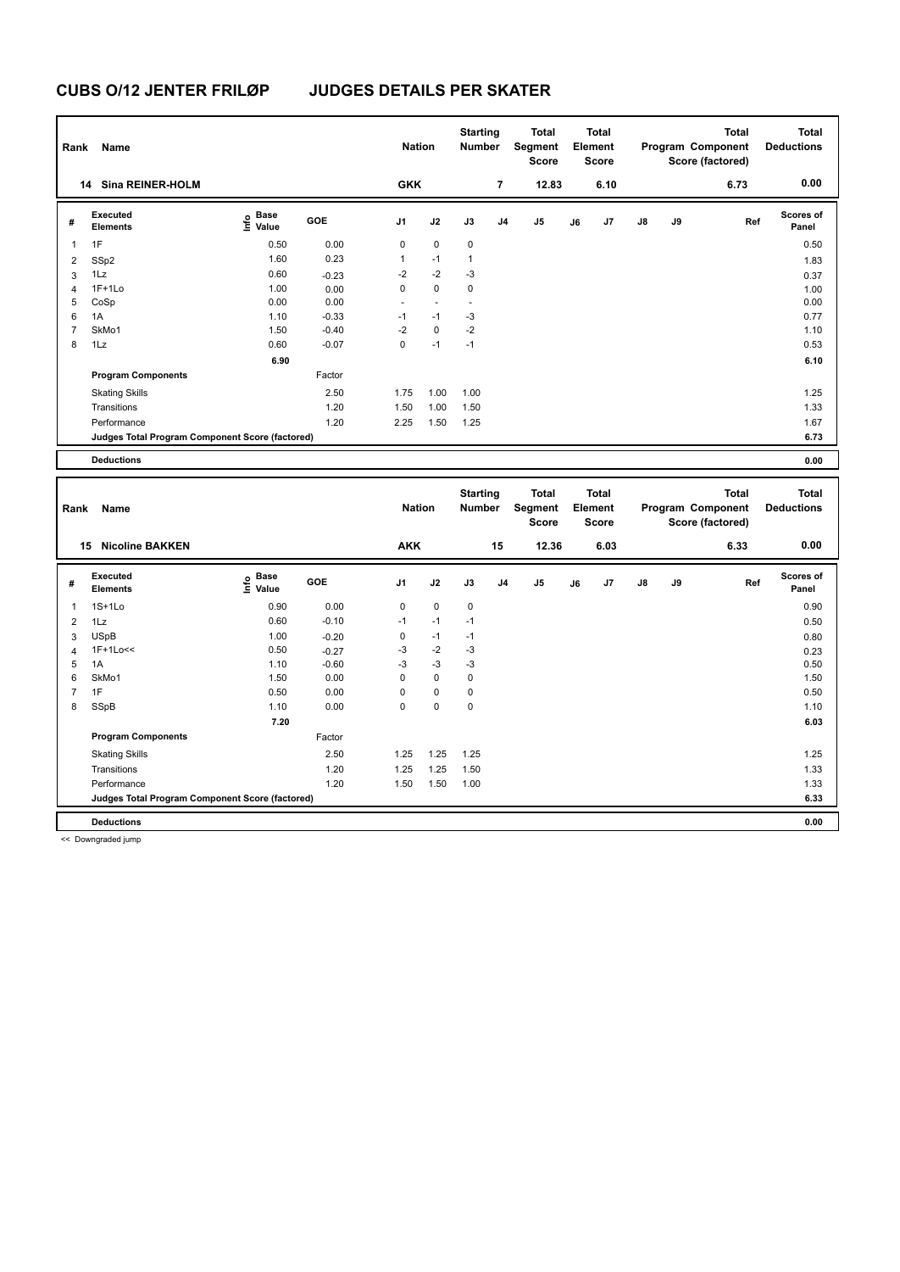| Rank | Name                                            |                       |            | <b>Nation</b>  |                          | <b>Starting</b><br><b>Number</b> |                | <b>Total</b><br>Segment<br><b>Score</b> |    | Total<br>Element<br><b>Score</b> |               |    | <b>Total</b><br>Program Component<br>Score (factored) | <b>Total</b><br><b>Deductions</b> |
|------|-------------------------------------------------|-----------------------|------------|----------------|--------------------------|----------------------------------|----------------|-----------------------------------------|----|----------------------------------|---------------|----|-------------------------------------------------------|-----------------------------------|
|      | <b>Sina REINER-HOLM</b><br>14                   |                       |            | <b>GKK</b>     |                          |                                  | $\overline{7}$ | 12.83                                   |    | 6.10                             |               |    | 6.73                                                  | 0.00                              |
| #    | Executed<br><b>Elements</b>                     | Base<br>lnfo<br>Value | <b>GOE</b> | J <sub>1</sub> | J2                       | J3                               | J <sub>4</sub> | J <sub>5</sub>                          | J6 | J7                               | $\mathsf{J}8$ | J9 | Ref                                                   | <b>Scores of</b><br>Panel         |
| 1    | 1F                                              | 0.50                  | 0.00       | 0              | $\mathbf 0$              | $\mathbf 0$                      |                |                                         |    |                                  |               |    |                                                       | 0.50                              |
| 2    | SSp2                                            | 1.60                  | 0.23       | 1              | $-1$                     | 1                                |                |                                         |    |                                  |               |    |                                                       | 1.83                              |
| 3    | 1Lz                                             | 0.60                  | $-0.23$    | $-2$           | $-2$                     | -3                               |                |                                         |    |                                  |               |    |                                                       | 0.37                              |
| 4    | $1F+1Lo$                                        | 1.00                  | 0.00       | 0              | $\mathbf 0$              | $\pmb{0}$                        |                |                                         |    |                                  |               |    |                                                       | 1.00                              |
| 5    | CoSp                                            | 0.00                  | 0.00       | ٠              | $\overline{\phantom{a}}$ | $\overline{\phantom{a}}$         |                |                                         |    |                                  |               |    |                                                       | 0.00                              |
| 6    | 1A                                              | 1.10                  | $-0.33$    | $-1$           | $-1$                     | $-3$                             |                |                                         |    |                                  |               |    |                                                       | 0.77                              |
|      | SkMo1                                           | 1.50                  | $-0.40$    | $-2$           | $\mathbf 0$              | $-2$                             |                |                                         |    |                                  |               |    |                                                       | 1.10                              |
| 8    | 1Lz                                             | 0.60                  | $-0.07$    | 0              | $-1$                     | $-1$                             |                |                                         |    |                                  |               |    |                                                       | 0.53                              |
|      |                                                 | 6.90                  |            |                |                          |                                  |                |                                         |    |                                  |               |    |                                                       | 6.10                              |
|      | <b>Program Components</b>                       |                       | Factor     |                |                          |                                  |                |                                         |    |                                  |               |    |                                                       |                                   |
|      | <b>Skating Skills</b>                           |                       | 2.50       | 1.75           | 1.00                     | 1.00                             |                |                                         |    |                                  |               |    |                                                       | 1.25                              |
|      | Transitions                                     |                       | 1.20       | 1.50           | 1.00                     | 1.50                             |                |                                         |    |                                  |               |    |                                                       | 1.33                              |
|      | Performance                                     |                       | 1.20       | 2.25           | 1.50                     | 1.25                             |                |                                         |    |                                  |               |    |                                                       | 1.67                              |
|      | Judges Total Program Component Score (factored) |                       |            |                |                          |                                  |                |                                         |    |                                  |               |    |                                                       | 6.73                              |
|      | <b>Deductions</b>                               |                       |            |                |                          |                                  |                |                                         |    |                                  |               |    |                                                       | 0.00                              |

| Name<br>Rank   |                                                 |                                  |            |             | <b>Nation</b> |             | <b>Starting</b><br><b>Number</b> | <b>Total</b><br>Segment<br>Score | <b>Total</b><br>Element<br><b>Score</b> |      |               |    | <b>Total</b><br>Program Component<br>Score (factored) | <b>Total</b><br><b>Deductions</b> |
|----------------|-------------------------------------------------|----------------------------------|------------|-------------|---------------|-------------|----------------------------------|----------------------------------|-----------------------------------------|------|---------------|----|-------------------------------------------------------|-----------------------------------|
|                | <b>Nicoline BAKKEN</b><br>15                    |                                  |            | <b>AKK</b>  |               |             | 15                               | 12.36                            |                                         | 6.03 |               |    | 6.33                                                  | 0.00                              |
| #              | Executed<br><b>Elements</b>                     | <b>Base</b><br>e Base<br>E Value | <b>GOE</b> | J1          | J2            | J3          | J <sub>4</sub>                   | J <sub>5</sub>                   | J6                                      | J7   | $\mathsf{J}8$ | J9 | Ref                                                   | <b>Scores of</b><br>Panel         |
|                | $1S+1Lo$                                        | 0.90                             | 0.00       | $\mathbf 0$ | $\mathbf 0$   | $\mathbf 0$ |                                  |                                  |                                         |      |               |    |                                                       | 0.90                              |
| $\overline{2}$ | 1Lz                                             | 0.60                             | $-0.10$    | $-1$        | $-1$          | $-1$        |                                  |                                  |                                         |      |               |    |                                                       | 0.50                              |
| 3              | <b>USpB</b>                                     | 1.00                             | $-0.20$    | $\mathbf 0$ | $-1$          | $-1$        |                                  |                                  |                                         |      |               |    |                                                       | 0.80                              |
| $\overline{4}$ | 1F+1Lo<<                                        | 0.50                             | $-0.27$    | $-3$        | $-2$          | $-3$        |                                  |                                  |                                         |      |               |    |                                                       | 0.23                              |
| 5              | 1A                                              | 1.10                             | $-0.60$    | $-3$        | $-3$          | $-3$        |                                  |                                  |                                         |      |               |    |                                                       | 0.50                              |
| 6              | SkMo1                                           | 1.50                             | 0.00       | 0           | $\mathbf 0$   | 0           |                                  |                                  |                                         |      |               |    |                                                       | 1.50                              |
|                | 1F                                              | 0.50                             | 0.00       | 0           | $\mathbf 0$   | 0           |                                  |                                  |                                         |      |               |    |                                                       | 0.50                              |
| 8              | SSpB                                            | 1.10                             | 0.00       | $\mathbf 0$ | $\pmb{0}$     | $\mathbf 0$ |                                  |                                  |                                         |      |               |    |                                                       | 1.10                              |
|                |                                                 | 7.20                             |            |             |               |             |                                  |                                  |                                         |      |               |    |                                                       | 6.03                              |
|                | <b>Program Components</b>                       |                                  | Factor     |             |               |             |                                  |                                  |                                         |      |               |    |                                                       |                                   |
|                | <b>Skating Skills</b>                           |                                  | 2.50       | 1.25        | 1.25          | 1.25        |                                  |                                  |                                         |      |               |    |                                                       | 1.25                              |
|                | Transitions                                     |                                  | 1.20       | 1.25        | 1.25          | 1.50        |                                  |                                  |                                         |      |               |    |                                                       | 1.33                              |
|                | Performance                                     |                                  | 1.20       | 1.50        | 1.50          | 1.00        |                                  |                                  |                                         |      |               |    |                                                       | 1.33                              |
|                | Judges Total Program Component Score (factored) |                                  |            |             |               |             |                                  |                                  |                                         |      |               |    |                                                       | 6.33                              |
|                | <b>Deductions</b>                               |                                  |            |             |               |             |                                  |                                  |                                         |      |               |    |                                                       | 0.00                              |

<< Downgraded jump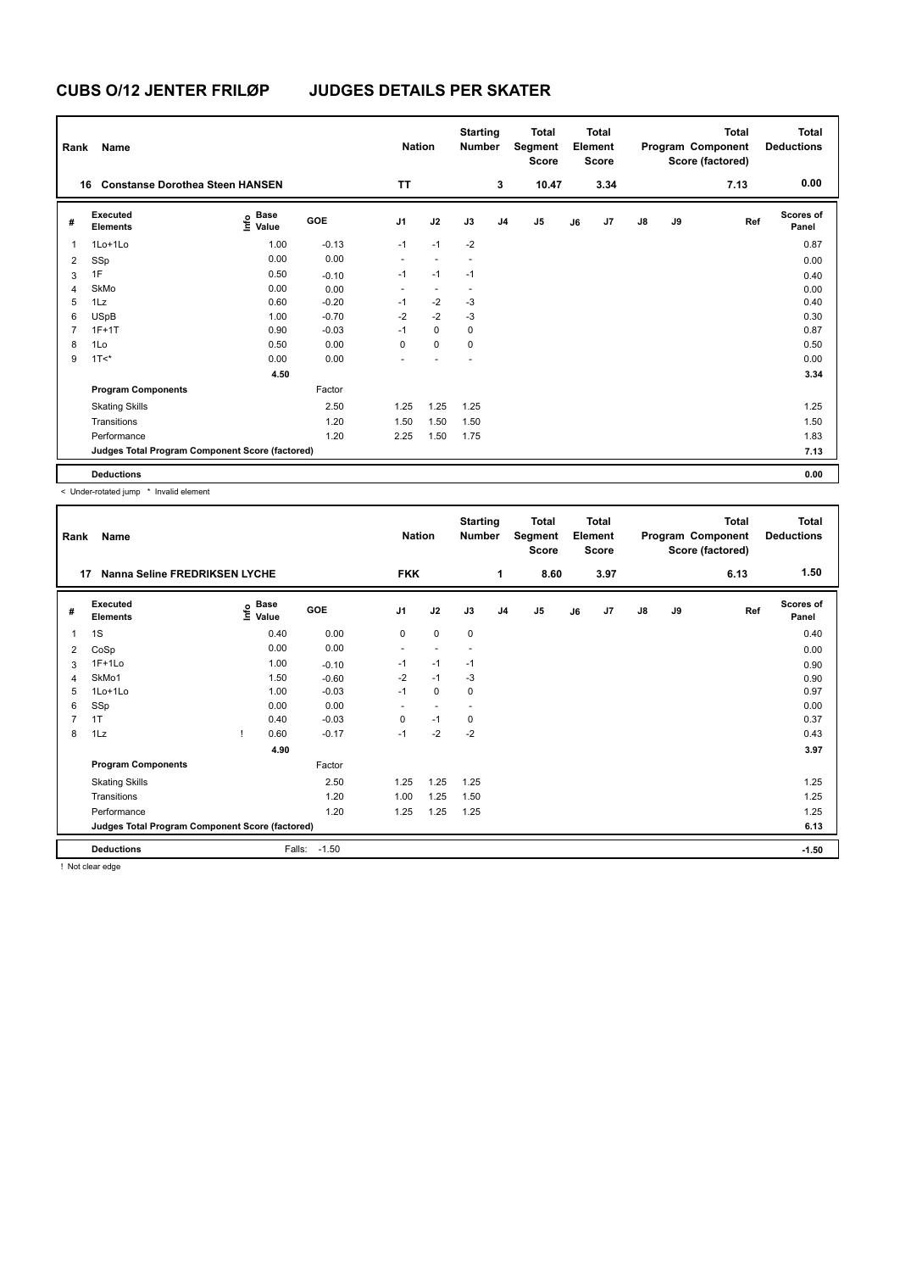| Rank           | Name                                            |                           |         | <b>Nation</b>  |                          | <b>Starting</b><br><b>Number</b> |                | <b>Total</b><br>Segment<br><b>Score</b> |    | <b>Total</b><br>Element<br>Score |               |    | <b>Total</b><br>Program Component<br>Score (factored) | Total<br><b>Deductions</b> |
|----------------|-------------------------------------------------|---------------------------|---------|----------------|--------------------------|----------------------------------|----------------|-----------------------------------------|----|----------------------------------|---------------|----|-------------------------------------------------------|----------------------------|
|                | <b>Constanse Dorothea Steen HANSEN</b><br>16    |                           |         | <b>TT</b>      |                          |                                  | 3              | 10.47                                   |    | 3.34                             |               |    | 7.13                                                  | 0.00                       |
| #              | Executed<br><b>Elements</b>                     | Base<br>e Base<br>⊆ Value | GOE     | J <sub>1</sub> | J2                       | J3                               | J <sub>4</sub> | J <sub>5</sub>                          | J6 | J <sub>7</sub>                   | $\mathsf{J}8$ | J9 | Ref                                                   | <b>Scores of</b><br>Panel  |
| 1              | 1Lo+1Lo                                         | 1.00                      | $-0.13$ | $-1$           | $-1$                     | $-2$                             |                |                                         |    |                                  |               |    |                                                       | 0.87                       |
| 2              | SSp                                             | 0.00                      | 0.00    | ٠              | $\overline{a}$           |                                  |                |                                         |    |                                  |               |    |                                                       | 0.00                       |
| 3              | 1F                                              | 0.50                      | $-0.10$ | $-1$           | $-1$                     | $-1$                             |                |                                         |    |                                  |               |    |                                                       | 0.40                       |
| $\overline{4}$ | SkMo                                            | 0.00                      | 0.00    | ٠              | $\overline{\phantom{a}}$ |                                  |                |                                         |    |                                  |               |    |                                                       | 0.00                       |
| 5              | 1Lz                                             | 0.60                      | $-0.20$ | $-1$           | $-2$                     | $-3$                             |                |                                         |    |                                  |               |    |                                                       | 0.40                       |
| 6              | <b>USpB</b>                                     | 1.00                      | $-0.70$ | $-2$           | $-2$                     | $-3$                             |                |                                         |    |                                  |               |    |                                                       | 0.30                       |
| $\overline{7}$ | $1F+1T$                                         | 0.90                      | $-0.03$ | $-1$           | $\mathbf 0$              | 0                                |                |                                         |    |                                  |               |    |                                                       | 0.87                       |
| 8              | 1Lo                                             | 0.50                      | 0.00    | 0              | $\mathbf 0$              | 0                                |                |                                         |    |                                  |               |    |                                                       | 0.50                       |
| 9              | $1T <$ *                                        | 0.00                      | 0.00    |                |                          |                                  |                |                                         |    |                                  |               |    |                                                       | 0.00                       |
|                |                                                 | 4.50                      |         |                |                          |                                  |                |                                         |    |                                  |               |    |                                                       | 3.34                       |
|                | <b>Program Components</b>                       |                           | Factor  |                |                          |                                  |                |                                         |    |                                  |               |    |                                                       |                            |
|                | <b>Skating Skills</b>                           |                           | 2.50    | 1.25           | 1.25                     | 1.25                             |                |                                         |    |                                  |               |    |                                                       | 1.25                       |
|                | Transitions                                     |                           | 1.20    | 1.50           | 1.50                     | 1.50                             |                |                                         |    |                                  |               |    |                                                       | 1.50                       |
|                | Performance                                     |                           | 1.20    | 2.25           | 1.50                     | 1.75                             |                |                                         |    |                                  |               |    |                                                       | 1.83                       |
|                | Judges Total Program Component Score (factored) |                           |         |                |                          |                                  |                |                                         |    |                                  |               |    |                                                       | 7.13                       |
|                | <b>Deductions</b>                               |                           |         |                |                          |                                  |                |                                         |    |                                  |               |    |                                                       | 0.00                       |

< Under-rotated jump \* Invalid element

| Rank           | Name                                            |                                  |         | <b>Nation</b>  |                          | <b>Starting</b><br><b>Number</b> |                | <b>Total</b><br>Segment<br><b>Score</b> |    | <b>Total</b><br>Element<br><b>Score</b> |               |    | <b>Total</b><br>Program Component<br>Score (factored) | <b>Total</b><br><b>Deductions</b> |
|----------------|-------------------------------------------------|----------------------------------|---------|----------------|--------------------------|----------------------------------|----------------|-----------------------------------------|----|-----------------------------------------|---------------|----|-------------------------------------------------------|-----------------------------------|
| 17             | Nanna Seline FREDRIKSEN LYCHE                   |                                  |         | <b>FKK</b>     |                          |                                  | 1              | 8.60                                    |    | 3.97                                    |               |    | 6.13                                                  | 1.50                              |
| #              | Executed<br><b>Elements</b>                     | <b>Base</b><br>e Base<br>E Value | GOE     | J <sub>1</sub> | J2                       | J3                               | J <sub>4</sub> | J <sub>5</sub>                          | J6 | J7                                      | $\mathsf{J}8$ | J9 | Ref                                                   | <b>Scores of</b><br>Panel         |
| 1              | 1S                                              | 0.40                             | 0.00    | 0              | $\mathbf 0$              | $\pmb{0}$                        |                |                                         |    |                                         |               |    |                                                       | 0.40                              |
| 2              | CoSp                                            | 0.00                             | 0.00    | ٠              | $\overline{\phantom{a}}$ | $\overline{\phantom{a}}$         |                |                                         |    |                                         |               |    |                                                       | 0.00                              |
| 3              | $1F+1Lo$                                        | 1.00                             | $-0.10$ | $-1$           | $-1$                     | $-1$                             |                |                                         |    |                                         |               |    |                                                       | 0.90                              |
| $\overline{4}$ | SkMo1                                           | 1.50                             | $-0.60$ | $-2$           | $-1$                     | -3                               |                |                                         |    |                                         |               |    |                                                       | 0.90                              |
| 5              | $1$ Lo $+1$ Lo                                  | 1.00                             | $-0.03$ | $-1$           | $\mathbf 0$              | 0                                |                |                                         |    |                                         |               |    |                                                       | 0.97                              |
| 6              | SSp                                             | 0.00                             | 0.00    | ٠              | $\overline{\phantom{a}}$ | $\overline{\phantom{a}}$         |                |                                         |    |                                         |               |    |                                                       | 0.00                              |
| $\overline{7}$ | 1T                                              | 0.40                             | $-0.03$ | $\mathbf 0$    | $-1$                     | 0                                |                |                                         |    |                                         |               |    |                                                       | 0.37                              |
| 8              | 1Lz                                             | 0.60                             | $-0.17$ | $-1$           | $-2$                     | $-2$                             |                |                                         |    |                                         |               |    |                                                       | 0.43                              |
|                |                                                 | 4.90                             |         |                |                          |                                  |                |                                         |    |                                         |               |    |                                                       | 3.97                              |
|                | <b>Program Components</b>                       |                                  | Factor  |                |                          |                                  |                |                                         |    |                                         |               |    |                                                       |                                   |
|                | <b>Skating Skills</b>                           |                                  | 2.50    | 1.25           | 1.25                     | 1.25                             |                |                                         |    |                                         |               |    |                                                       | 1.25                              |
|                | Transitions                                     |                                  | 1.20    | 1.00           | 1.25                     | 1.50                             |                |                                         |    |                                         |               |    |                                                       | 1.25                              |
|                | Performance                                     |                                  | 1.20    | 1.25           | 1.25                     | 1.25                             |                |                                         |    |                                         |               |    |                                                       | 1.25                              |
|                | Judges Total Program Component Score (factored) |                                  |         |                |                          |                                  |                |                                         |    |                                         |               |    |                                                       | 6.13                              |
|                | <b>Deductions</b>                               | Falls:                           | $-1.50$ |                |                          |                                  |                |                                         |    |                                         |               |    |                                                       | $-1.50$                           |

! Not clear edge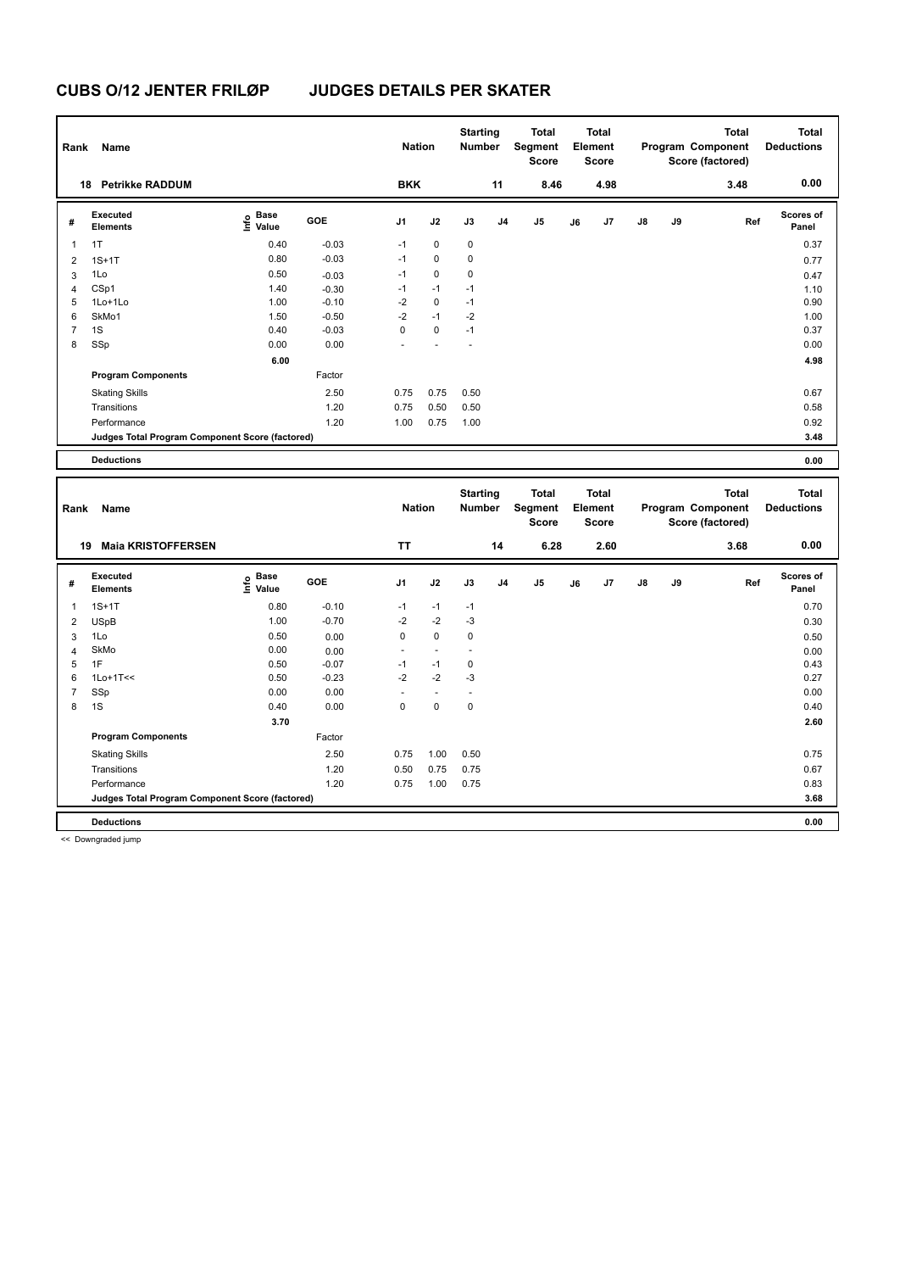| Rank           | Name                                            |                       |         | <b>Nation</b>  |             | <b>Starting</b><br>Number |                | Total<br>Segment<br><b>Score</b> |    | <b>Total</b><br>Element<br><b>Score</b> |               |    | <b>Total</b><br>Program Component<br>Score (factored) | <b>Total</b><br><b>Deductions</b> |
|----------------|-------------------------------------------------|-----------------------|---------|----------------|-------------|---------------------------|----------------|----------------------------------|----|-----------------------------------------|---------------|----|-------------------------------------------------------|-----------------------------------|
|                | <b>Petrikke RADDUM</b><br>18                    |                       |         | <b>BKK</b>     |             |                           | 11             | 8.46                             |    | 4.98                                    |               |    | 3.48                                                  | 0.00                              |
| #              | Executed<br><b>Elements</b>                     | Base<br>lnfo<br>Value | GOE     | J <sub>1</sub> | J2          | J3                        | J <sub>4</sub> | J5                               | J6 | J7                                      | $\mathsf{J}8$ | J9 | Ref                                                   | <b>Scores of</b><br>Panel         |
| $\mathbf{1}$   | 1T                                              | 0.40                  | $-0.03$ | $-1$           | $\mathbf 0$ | 0                         |                |                                  |    |                                         |               |    |                                                       | 0.37                              |
| 2              | $1S+1T$                                         | 0.80                  | $-0.03$ | $-1$           | 0           | 0                         |                |                                  |    |                                         |               |    |                                                       | 0.77                              |
| 3              | 1Lo                                             | 0.50                  | $-0.03$ | $-1$           | $\pmb{0}$   | 0                         |                |                                  |    |                                         |               |    |                                                       | 0.47                              |
| $\overline{4}$ | CSp1                                            | 1.40                  | $-0.30$ | $-1$           | $-1$        | $-1$                      |                |                                  |    |                                         |               |    |                                                       | 1.10                              |
| 5              | 1Lo+1Lo                                         | 1.00                  | $-0.10$ | $-2$           | $\mathbf 0$ | $-1$                      |                |                                  |    |                                         |               |    |                                                       | 0.90                              |
| 6              | SkMo1                                           | 1.50                  | $-0.50$ | $-2$           | $-1$        | $-2$                      |                |                                  |    |                                         |               |    |                                                       | 1.00                              |
| $\overline{7}$ | 1S                                              | 0.40                  | $-0.03$ | 0              | $\mathbf 0$ | $-1$                      |                |                                  |    |                                         |               |    |                                                       | 0.37                              |
| 8              | SSp                                             | 0.00                  | 0.00    |                |             |                           |                |                                  |    |                                         |               |    |                                                       | 0.00                              |
|                |                                                 | 6.00                  |         |                |             |                           |                |                                  |    |                                         |               |    |                                                       | 4.98                              |
|                | <b>Program Components</b>                       |                       | Factor  |                |             |                           |                |                                  |    |                                         |               |    |                                                       |                                   |
|                | <b>Skating Skills</b>                           |                       | 2.50    | 0.75           | 0.75        | 0.50                      |                |                                  |    |                                         |               |    |                                                       | 0.67                              |
|                | Transitions                                     |                       | 1.20    | 0.75           | 0.50        | 0.50                      |                |                                  |    |                                         |               |    |                                                       | 0.58                              |
|                | Performance                                     |                       | 1.20    | 1.00           | 0.75        | 1.00                      |                |                                  |    |                                         |               |    |                                                       | 0.92                              |
|                | Judges Total Program Component Score (factored) |                       |         |                |             |                           |                |                                  |    |                                         |               |    |                                                       | 3.48                              |
|                | <b>Deductions</b>                               |                       |         |                |             |                           |                |                                  |    |                                         |               |    |                                                       | 0.00                              |

| Rank | Name                                            |                   |         | <b>Nation</b> |                          | <b>Starting</b><br><b>Number</b> |                | <b>Total</b><br>Segment<br><b>Score</b> |    | <b>Total</b><br>Element<br><b>Score</b> |               |    | <b>Total</b><br>Program Component<br>Score (factored) | <b>Total</b><br><b>Deductions</b> |
|------|-------------------------------------------------|-------------------|---------|---------------|--------------------------|----------------------------------|----------------|-----------------------------------------|----|-----------------------------------------|---------------|----|-------------------------------------------------------|-----------------------------------|
|      | <b>Maia KRISTOFFERSEN</b><br>19                 |                   |         | <b>TT</b>     |                          |                                  | 14             | 6.28                                    |    | 2.60                                    |               |    | 3.68                                                  | 0.00                              |
| #    | Executed<br><b>Elements</b>                     | e Base<br>E Value | GOE     | J1            | J2                       | J3                               | J <sub>4</sub> | J5                                      | J6 | J7                                      | $\mathsf{J}8$ | J9 | Ref                                                   | <b>Scores of</b><br>Panel         |
| 1    | $1S+1T$                                         | 0.80              | $-0.10$ | $-1$          | $-1$                     | $-1$                             |                |                                         |    |                                         |               |    |                                                       | 0.70                              |
| 2    | <b>USpB</b>                                     | 1.00              | $-0.70$ | $-2$          | $-2$                     | $-3$                             |                |                                         |    |                                         |               |    |                                                       | 0.30                              |
| 3    | 1Lo                                             | 0.50              | 0.00    | $\mathbf 0$   | $\mathbf 0$              | $\mathbf 0$                      |                |                                         |    |                                         |               |    |                                                       | 0.50                              |
| 4    | SkMo                                            | 0.00              | 0.00    | ٠             | $\overline{\phantom{a}}$ |                                  |                |                                         |    |                                         |               |    |                                                       | 0.00                              |
| 5    | 1F                                              | 0.50              | $-0.07$ | $-1$          | $-1$                     | 0                                |                |                                         |    |                                         |               |    |                                                       | 0.43                              |
| 6    | $1$ Lo+ $1$ T<<                                 | 0.50              | $-0.23$ | $-2$          | $-2$                     | $-3$                             |                |                                         |    |                                         |               |    |                                                       | 0.27                              |
| 7    | SSp                                             | 0.00              | 0.00    |               | $\overline{\phantom{a}}$ |                                  |                |                                         |    |                                         |               |    |                                                       | 0.00                              |
| 8    | 1S                                              | 0.40              | 0.00    | $\mathbf 0$   | $\mathbf 0$              | $\mathbf 0$                      |                |                                         |    |                                         |               |    |                                                       | 0.40                              |
|      |                                                 | 3.70              |         |               |                          |                                  |                |                                         |    |                                         |               |    |                                                       | 2.60                              |
|      | <b>Program Components</b>                       |                   | Factor  |               |                          |                                  |                |                                         |    |                                         |               |    |                                                       |                                   |
|      | <b>Skating Skills</b>                           |                   | 2.50    | 0.75          | 1.00                     | 0.50                             |                |                                         |    |                                         |               |    |                                                       | 0.75                              |
|      | Transitions                                     |                   | 1.20    | 0.50          | 0.75                     | 0.75                             |                |                                         |    |                                         |               |    |                                                       | 0.67                              |
|      | Performance                                     |                   | 1.20    | 0.75          | 1.00                     | 0.75                             |                |                                         |    |                                         |               |    |                                                       | 0.83                              |
|      | Judges Total Program Component Score (factored) |                   |         |               |                          |                                  |                |                                         |    |                                         |               |    |                                                       | 3.68                              |
|      | <b>Deductions</b>                               |                   |         |               |                          |                                  |                |                                         |    |                                         |               |    |                                                       | 0.00                              |

<< Downgraded jump